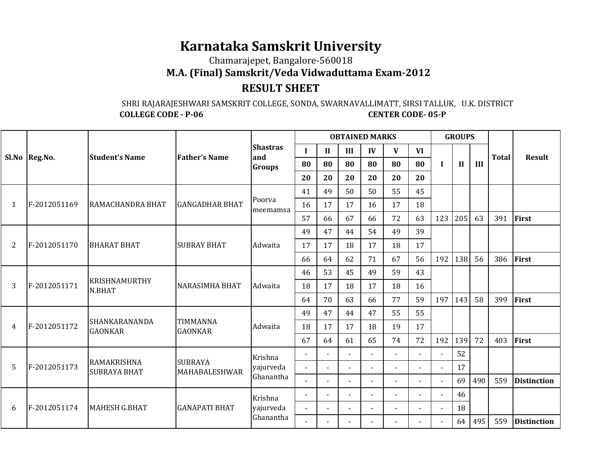## **Karnataka Samskrit University**

Chamarajepet, Bangalore-560018

**M.A. (Final) Samskrit/Veda Vidwaduttama Exam-2012**

## **RESULT SHEET**

## SHRI RAJARAJESHWARI SAMSKRIT COLLEGE, SONDA, SWARNAVALLIMATT, SIRSI TALLUK, U.K. DISTRICT **COLLEGE CODE - P-06 CENTER CODE- 05-P**

|   |               |                                           |                                   |                        |        |                |                | <b>OBTAINED MARKS</b> |              |                |                | <b>GROUPS</b> |     |              |                    |
|---|---------------|-------------------------------------------|-----------------------------------|------------------------|--------|----------------|----------------|-----------------------|--------------|----------------|----------------|---------------|-----|--------------|--------------------|
|   |               | <b>Student's Name</b>                     | <b>Father's Name</b>              | <b>Shastras</b><br>and |        | $\mathbf{I}$   | III            | IV                    | $\mathbf{V}$ | <b>VI</b>      |                |               |     | <b>Total</b> | <b>Result</b>      |
|   | Sl.No Reg.No. |                                           |                                   | <b>Groups</b>          | 80     | 80             | 80             | 80                    | 80           | 80             | $\mathbf I$    | $\mathbf{I}$  | III |              |                    |
|   |               |                                           |                                   |                        | 20     | 20             | 20             | 20                    | 20           | 20             |                |               |     |              |                    |
|   |               |                                           |                                   |                        | 41     | 49             | 50             | 50                    | 55           | 45             |                |               |     |              |                    |
| 1 | F-2012051169  | RAMACHANDRA BHAT                          | <b>GANGADHAR BHAT</b>             | Poorva<br>meemamsa     | 16     | 17             | 17             | 16                    | 17           | 18             |                |               |     |              |                    |
|   |               |                                           |                                   |                        | 57     | 66             | 67             | 66                    | 72           | 63             | 123            | 205           | 63  | 391          | First              |
|   |               |                                           |                                   |                        | 49     | 47             | 44             | 54                    | 49           | 39             |                |               |     |              |                    |
| 2 | F-2012051170  | <b>BHARAT BHAT</b>                        | <b>SUBRAY BHAT</b>                | Adwaita                | 17     | 17             | 18             | 17                    | 18           | 17             |                |               |     |              |                    |
|   |               |                                           |                                   |                        | 66     | 64             | 62             | 71                    | 67           | 56             | 192            | 138           | 56  | 386          | First              |
|   |               |                                           |                                   |                        | 46     | 53             | 45             | 49                    | 59           | 43             |                |               |     |              |                    |
| 3 | F-2012051171  | <b>KRISHNAMURTHY</b><br>N.BHAT            | <b>NARASIMHA BHAT</b>             | Adwaita                | 18     | 17             | 18             | 17                    | 18           | 16             |                |               |     |              |                    |
|   |               |                                           |                                   |                        | 64     | 70             | 63             | 66                    | 77           | 59             | 197            | 143           | 58  | 399          | First              |
|   |               |                                           |                                   |                        | 49     | 47             | 44             | 47                    | 55           | 55             |                |               |     |              |                    |
| 4 | F-2012051172  | SHANKARANANDA<br><b>GAONKAR</b>           | <b>TIMMANNA</b><br><b>GAONKAR</b> | Adwaita                | 18     | 17             | 17             | 18                    | 19           | 17             |                |               |     |              |                    |
|   |               |                                           |                                   |                        | 67     | 64             | 61             | 65                    | 74           | 72             | 192            | 139           | 72  | 403          | First              |
|   |               |                                           |                                   | Krishna                |        |                |                |                       |              |                |                | 52            |     |              |                    |
| 5 | F-2012051173  | <b>RAMAKRISHNA</b><br><b>SUBRAYA BHAT</b> | <b>SUBRAYA</b><br>MAHABALESHWAR   | yajurveda              | $\sim$ | $\sim$         | $\overline{a}$ | $\overline{a}$        | $\sim$       | $\overline{a}$ | $\overline{a}$ | 17            |     |              |                    |
|   |               |                                           |                                   | Ghanantha              |        |                | $\blacksquare$ | $\sim$                |              |                | $\blacksquare$ | 69            | 490 | 559          | <b>Distinction</b> |
|   |               |                                           |                                   | Krishna                |        |                | ÷,             | $\overline{a}$        |              |                |                | 46            |     |              |                    |
| 6 | F-2012051174  | <b>MAHESH G.BHAT</b>                      | <b>GANAPATI BHAT</b>              | yajurveda              | $\sim$ | $\overline{a}$ | $\overline{a}$ | $\sim$                |              | $\overline{a}$ | $\overline{a}$ | 18            |     |              |                    |
|   |               |                                           |                                   | Ghanantha              |        |                | $\sim$         | $\overline{a}$        |              |                |                | 64            | 495 | 559          | <b>Distinction</b> |